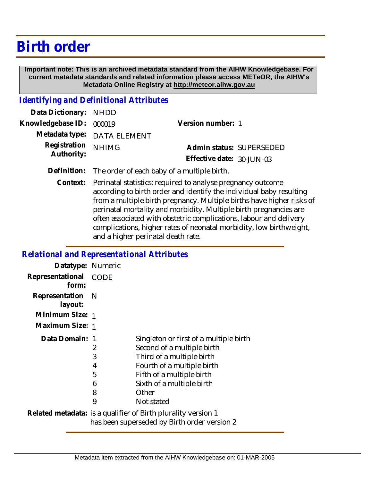## **Birth order**

 **Important note: This is an archived metadata standard from the AIHW Knowledgebase. For current metadata standards and related information please access METeOR, the AIHW's Metadata Online Registry at http://meteor.aihw.gov.au**

## *Identifying and Definitional Attributes*

| Data Dictionary: NHDD    |                             |                              |  |
|--------------------------|-----------------------------|------------------------------|--|
| Knowledgebase ID: 000019 |                             | Version number: 1            |  |
|                          | Metadata type: DATA ELEMENT |                              |  |
| Registration NHIMG       |                             | Admin status: SUPERSEDED     |  |
| Authority:               |                             | Effective date: $30$ -JUN-03 |  |
|                          |                             |                              |  |

**Definition:** The order of each baby of a multiple birth.

Perinatal statistics: required to analyse pregnancy outcome according to birth order and identify the individual baby resulting from a multiple birth pregnancy. Multiple births have higher risks of perinatal mortality and morbidity. Multiple birth pregnancies are often associated with obstetric complications, labour and delivery complications, higher rates of neonatal morbidity, low birthweight, and a higher perinatal death rate. **Context:**

## *Relational and Representational Attributes*

| Datatype: Numeric                                                                                             |                                 |                                                                                                                                                                                                                  |
|---------------------------------------------------------------------------------------------------------------|---------------------------------|------------------------------------------------------------------------------------------------------------------------------------------------------------------------------------------------------------------|
| Representational<br>form:                                                                                     | CODE                            |                                                                                                                                                                                                                  |
| Representation<br>layout:                                                                                     | - N                             |                                                                                                                                                                                                                  |
| Minimum Size: 1                                                                                               |                                 |                                                                                                                                                                                                                  |
| Maximum Size: 1                                                                                               |                                 |                                                                                                                                                                                                                  |
| Data Domain: 1                                                                                                | 2<br>3<br>4<br>5<br>6<br>8<br>9 | Singleton or first of a multiple birth<br>Second of a multiple birth<br>Third of a multiple birth<br>Fourth of a multiple birth<br>Fifth of a multiple birth<br>Sixth of a multiple birth<br>Other<br>Not stated |
| Related metadata: is a qualifier of Birth plurality version 1<br>has been superseded by Birth order version 2 |                                 |                                                                                                                                                                                                                  |